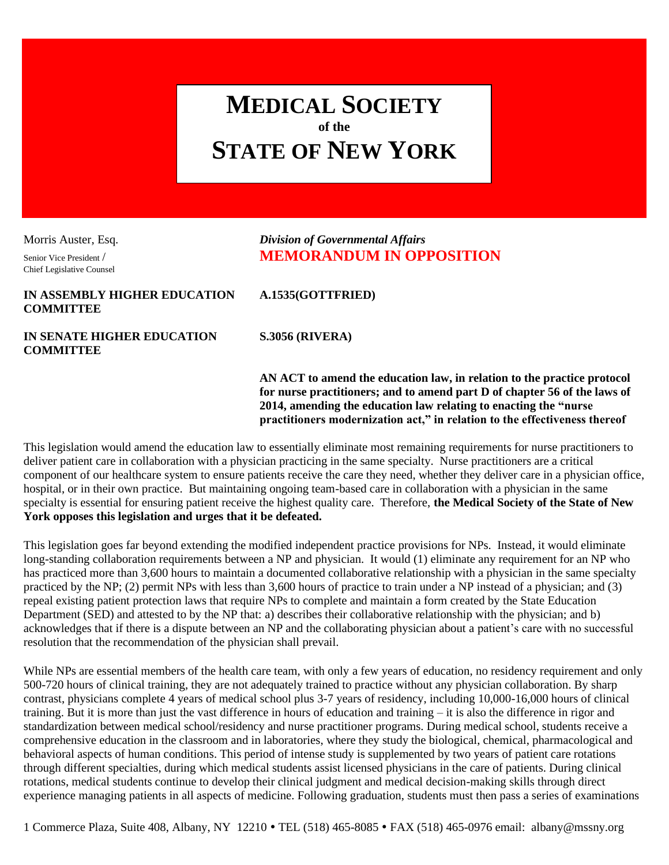# **MEDICAL SOCIETY of the STATE OF NEW YORK**

Chief Legislative Counsel

# Morris Auster, Esq. *Division of Governmental Affairs* Senior Vice President / **MEMORANDUM IN OPPOSITION**

#### **IN ASSEMBLY HIGHER EDUCATION A.1535(GOTTFRIED) COMMITTEE**

**IN SENATE HIGHER EDUCATION S.3056 (RIVERA) COMMITTEE**

**AN ACT to amend the education law, in relation to the practice protocol for nurse practitioners; and to amend part D of chapter 56 of the laws of 2014, amending the education law relating to enacting the "nurse practitioners modernization act," in relation to the effectiveness thereof**

This legislation would amend the education law to essentially eliminate most remaining requirements for nurse practitioners to deliver patient care in collaboration with a physician practicing in the same specialty. Nurse practitioners are a critical component of our healthcare system to ensure patients receive the care they need, whether they deliver care in a physician office, hospital, or in their own practice. But maintaining ongoing team-based care in collaboration with a physician in the same specialty is essential for ensuring patient receive the highest quality care. Therefore, **the Medical Society of the State of New York opposes this legislation and urges that it be defeated.**

This legislation goes far beyond extending the modified independent practice provisions for NPs. Instead, it would eliminate long-standing collaboration requirements between a NP and physician. It would (1) eliminate any requirement for an NP who has practiced more than 3,600 hours to maintain a documented collaborative relationship with a physician in the same specialty practiced by the NP; (2) permit NPs with less than 3,600 hours of practice to train under a NP instead of a physician; and (3) repeal existing patient protection laws that require NPs to complete and maintain a form created by the State Education Department (SED) and attested to by the NP that: a) describes their collaborative relationship with the physician; and b) acknowledges that if there is a dispute between an NP and the collaborating physician about a patient's care with no successful resolution that the recommendation of the physician shall prevail.

While NPs are essential members of the health care team, with only a few years of education, no residency requirement and only 500-720 hours of clinical training, they are not adequately trained to practice without any physician collaboration. By sharp contrast, physicians complete 4 years of medical school plus 3-7 years of residency, including 10,000-16,000 hours of clinical training. But it is more than just the vast difference in hours of education and training – it is also the difference in rigor and standardization between medical school/residency and nurse practitioner programs. During medical school, students receive a comprehensive education in the classroom and in laboratories, where they study the biological, chemical, pharmacological and behavioral aspects of human conditions. This period of intense study is supplemented by two years of patient care rotations through different specialties, during which medical students assist licensed physicians in the care of patients. During clinical rotations, medical students continue to develop their clinical judgment and medical decision-making skills through direct experience managing patients in all aspects of medicine. Following graduation, students must then pass a series of examinations